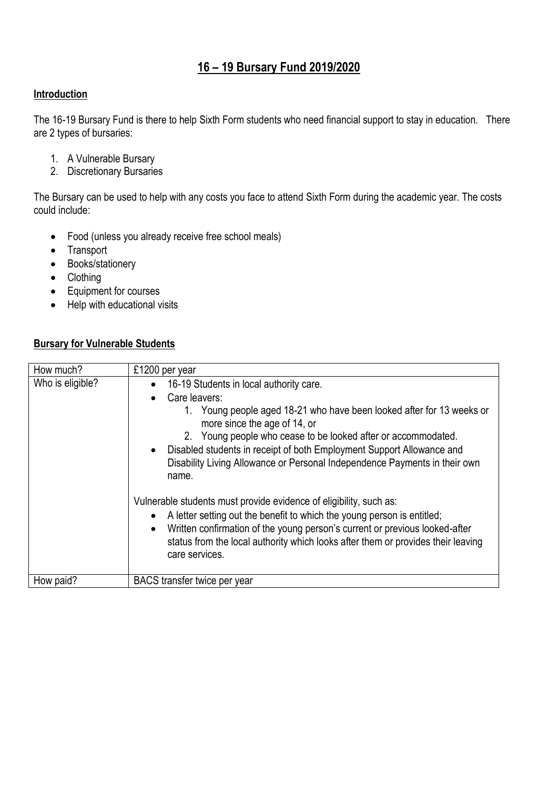# **16 – 19 Bursary Fund 2019/2020**

### **Introduction**

The 16-19 Bursary Fund is there to help Sixth Form students who need financial support to stay in education. There are 2 types of bursaries:

- 1. A Vulnerable Bursary
- 2. Discretionary Bursaries

The Bursary can be used to help with any costs you face to attend Sixth Form during the academic year. The costs could include:

- Food (unless you already receive free school meals)
- Transport
- Books/stationery
- Clothing
- Equipment for courses
- Help with educational visits

## **Bursary for Vulnerable Students**

| How much?        | £1200 per year                                                                                                                                                                                                                                                                                                                                                                                                                                                                                                                                                                                                                                                                                                                                          |  |
|------------------|---------------------------------------------------------------------------------------------------------------------------------------------------------------------------------------------------------------------------------------------------------------------------------------------------------------------------------------------------------------------------------------------------------------------------------------------------------------------------------------------------------------------------------------------------------------------------------------------------------------------------------------------------------------------------------------------------------------------------------------------------------|--|
| Who is eligible? | 16-19 Students in local authority care.<br>Care leavers:<br>1. Young people aged 18-21 who have been looked after for 13 weeks or<br>more since the age of 14, or<br>2. Young people who cease to be looked after or accommodated.<br>• Disabled students in receipt of both Employment Support Allowance and<br>Disability Living Allowance or Personal Independence Payments in their own<br>name.<br>Vulnerable students must provide evidence of eligibility, such as:<br>A letter setting out the benefit to which the young person is entitled;<br>$\bullet$<br>Written confirmation of the young person's current or previous looked-after<br>status from the local authority which looks after them or provides their leaving<br>care services. |  |
| How paid?        | BACS transfer twice per year                                                                                                                                                                                                                                                                                                                                                                                                                                                                                                                                                                                                                                                                                                                            |  |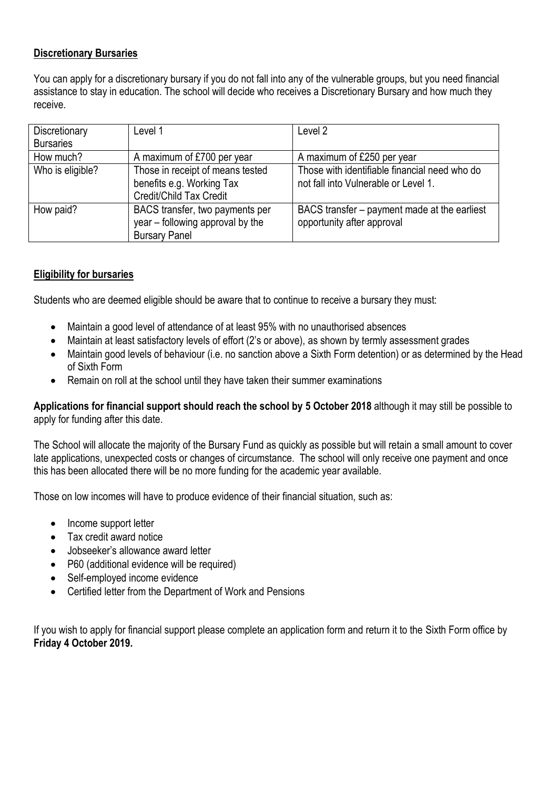#### **Discretionary Bursaries**

You can apply for a discretionary bursary if you do not fall into any of the vulnerable groups, but you need financial assistance to stay in education. The school will decide who receives a Discretionary Bursary and how much they receive.

| Discretionary    | Level 1                                                                                     | Level 2                                                                               |
|------------------|---------------------------------------------------------------------------------------------|---------------------------------------------------------------------------------------|
| <b>Bursaries</b> |                                                                                             |                                                                                       |
| How much?        | A maximum of £700 per year                                                                  | A maximum of £250 per year                                                            |
| Who is eligible? | Those in receipt of means tested<br>benefits e.g. Working Tax<br>Credit/Child Tax Credit    | Those with identifiable financial need who do<br>not fall into Vulnerable or Level 1. |
| How paid?        | BACS transfer, two payments per<br>year - following approval by the<br><b>Bursary Panel</b> | BACS transfer – payment made at the earliest<br>opportunity after approval            |

#### **Eligibility for bursaries**

Students who are deemed eligible should be aware that to continue to receive a bursary they must:

- Maintain a good level of attendance of at least 95% with no unauthorised absences
- Maintain at least satisfactory levels of effort (2's or above), as shown by termly assessment grades
- Maintain good levels of behaviour (i.e. no sanction above a Sixth Form detention) or as determined by the Head of Sixth Form
- Remain on roll at the school until they have taken their summer examinations

#### **Applications for financial support should reach the school by 5 October 2018** although it may still be possible to apply for funding after this date.

The School will allocate the majority of the Bursary Fund as quickly as possible but will retain a small amount to cover late applications, unexpected costs or changes of circumstance. The school will only receive one payment and once this has been allocated there will be no more funding for the academic year available.

Those on low incomes will have to produce evidence of their financial situation, such as:

- Income support letter
- Tax credit award notice
- Jobseeker's allowance award letter
- P60 (additional evidence will be required)
- Self-employed income evidence
- Certified letter from the Department of Work and Pensions

If you wish to apply for financial support please complete an application form and return it to the Sixth Form office by **Friday 4 October 2019.**